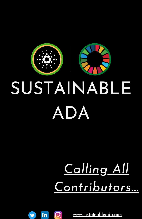

# *Calling All Contributors...*

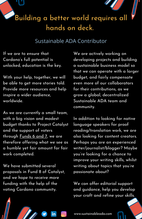

#### Sustainable ADA Contributor

If we are to ensure that Cardano's full potential is unlocked, education is the key.

With your help, together, we will be able to get more stories told. Provide more resources and help inspire a wider audience, worldwide.

As we are currently a small team, with a big vision and modest budget thanks to Project Catalyst and the support of voters through [Funds](https://bit.ly/3xpGiFr) 6 and 7, we are therefore offering what we see as a humble yet fair amount for fair work completed.

We have submitted several proposals in Fund 8 of Catalyst, and we hope to receive more funding with the help of the voting Cardano community.

We are actively working on developing projects and building a sustainable business model so that we can operate with a larger budget, and fairly compensate even more of our collaborators for their contributions, as we grow a global, decentralized Sustainable ADA team and community.

In addition to looking for native language speakers for proof reading/translation work, we are also looking for content creators. Perhaps you are an experienced writer/journalist/blogger? Maybe you're looking for a chance to improve your writing skills, whilst writing about topics that you're passionate about?

We can offer editorial support and guidance, help you develop your craft and refine your skills.

www.sustainableada.com

രി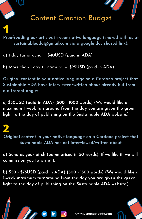## Content Creation Budget

**Proofreading our articles in your native language (shared with us at sustainableada@gmail.com via a google doc shared link): 1**

 $a)$  1 day turnaround = \$40USD (paid in ADA)

b) More than 1 day turnaround =  $$25USD$  (paid in ADA)

**Original content in your native language on a Cardano project that Sustainable ADA have interviewed/written about already but from a different angle:**

**c) \$50USD (paid in ADA) (500 - 1000 words) (We would like a maximum 1 week turnaround from the day you are given the green light to the day of publishing on the Sustainable ADA website.)**

**Original content in your native language on a Cardano project that Sustainable ADA has not interviewed/written about: 2**

**a) Send us your pitch (Summarised in 50 words). If we like it, we will commission you to write it.**

**b) \$50 - \$75USD (paid in ADA) (500 - 1500 words) (We would like a 1-week maximum turnaround from the day you are given the green light to the day of publishing on the Sustainable ADA website.)**

രി

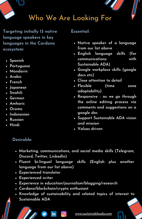

**Targeting initially 13 native language speakers in key languages in the Cardano ecosystem:**

- **Spanish**
- **Portuguese**
- **Mandarin**
- **Arabic**
- **French**
- **Japanese**
- **Swahili**
- **German**
- **Amharic**
- **Oromo**
- **Indonesian**
- **Russian**
- **Hindi**

#### **Essential:**

- **Native speaker of a language from our list above**
- **English language skills (for communications with Sustainable ADA)**
- **Google workplace skills (google docs etc)**
- **Close attention to detail**
- **Flexible (time zone adaptability)**
- **Responsive - as we go through the online editing process via comments and suggestions on a google doc**
- **Support Sustainable ADA vision and mission**
- **Values driven**

#### **Desirable:**

- **Marketing, communications, and social media skills (Telegram, Discord, Twitter, LinkedIn)**
- **Fluent bi-lingual language skills (English plus another language from our list above)**
- **Experienced translator**
- **Experienced writer**
- **Experience in education/journalism/blogging/research**

രി

- **Cardano/blockchain/crypto enthusiast**
- **Knowledge of sustainability and related topics of interest to Sustainable ADA**

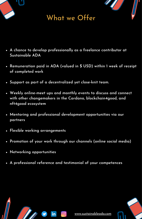

## What we Offer

- **A chance to develop professionally as a freelance contributor at Sustainable ADA**
- **Remuneration paid in ADA (valued in \$ USD) within 1 week of receipt of completed work**
- **Support as part of a decentralized yet close-knit team.**
- **Weekly online-meet ups and monthly events to discuss and connect with other changemakers in the Cardano, blockchain4good, and nft4good ecosystem**
- **Mentoring and professional development opportunities via our partners**
- **Flexible working arrangements**
- **Promotion of your work through our channels (online social media)**
- **Networking opportunities**
- **A professional reference and testimonial of your competences**